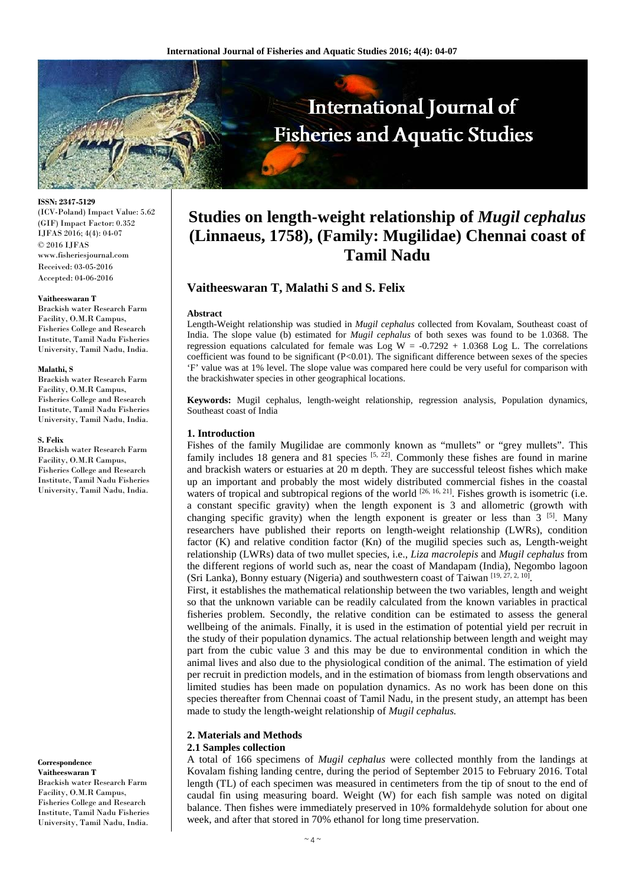

**ISSN: 2347-5129**

(ICV-Poland) Impact Value: 5.62 (GIF) Impact Factor: 0.352 IJFAS 2016; 4(4): 04-07 © 2016 IJFAS www.fisheriesjournal.com Received: 03-05-2016 Accepted: 04-06-2016

#### **Vaitheeswaran T**

Brackish water Research Farm Facility, O.M.R Campus, Fisheries College and Research Institute, Tamil Nadu Fisheries University, Tamil Nadu, India.

#### **Malathi, S**

Brackish water Research Farm Facility, O.M.R Campus, Fisheries College and Research Institute, Tamil Nadu Fisheries University, Tamil Nadu, India.

#### **S. Felix**

Brackish water Research Farm Facility, O.M.R Campus, Fisheries College and Research Institute, Tamil Nadu Fisheries University, Tamil Nadu, India.

**Correspondence Vaitheeswaran T** Brackish water Research Farm Facility, O.M.R Campus, Fisheries College and Research Institute, Tamil Nadu Fisheries University, Tamil Nadu, India.

# **Studies on length-weight relationship of** *Mugil cephalus*  **(Linnaeus, 1758), (Family: Mugilidae) Chennai coast of Tamil Nadu**

# **Vaitheeswaran T, Malathi S and S. Felix**

#### **Abstract**

Length-Weight relationship was studied in *Mugil cephalus* collected from Kovalam, Southeast coast of India. The slope value (b) estimated for *Mugil cephalus* of both sexes was found to be 1.0368. The regression equations calculated for female was Log W =  $-0.7292 + 1.0368$  Log L. The correlations coefficient was found to be significant  $(P<0.01)$ . The significant difference between sexes of the species 'F' value was at 1% level. The slope value was compared here could be very useful for comparison with the brackishwater species in other geographical locations.

**Keywords:** Mugil cephalus, length-weight relationship, regression analysis, Population dynamics, Southeast coast of India

# **1. Introduction**

Fishes of the family Mugilidae are commonly known as "mullets" or "grey mullets". This family includes 18 genera and 81 species  $[5, 22]$ . Commonly these fishes are found in marine and brackish waters or estuaries at 20 m depth. They are successful teleost fishes which make up an important and probably the most widely distributed commercial fishes in the coastal waters of tropical and subtropical regions of the world <sup>[26, 16, 21]</sup>. Fishes growth is isometric (i.e. a constant specific gravity) when the length exponent is 3 and allometric (growth with changing specific gravity) when the length exponent is greater or less than  $3^{5}$ . Many researchers have published their reports on length-weight relationship (LWRs), condition factor (K) and relative condition factor (Kn) of the mugilid species such as, Length-weight relationship (LWRs) data of two mullet species, i.e., *Liza macrolepis* and *Mugil cephalus* from the different regions of world such as, near the coast of Mandapam (India), Negombo lagoon (Sri Lanka), Bonny estuary (Nigeria) and southwestern coast of Taiwan [19, 27, 2, 10].

First, it establishes the mathematical relationship between the two variables, length and weight so that the unknown variable can be readily calculated from the known variables in practical fisheries problem. Secondly, the relative condition can be estimated to assess the general wellbeing of the animals. Finally, it is used in the estimation of potential yield per recruit in the study of their population dynamics. The actual relationship between length and weight may part from the cubic value 3 and this may be due to environmental condition in which the animal lives and also due to the physiological condition of the animal. The estimation of yield per recruit in prediction models, and in the estimation of biomass from length observations and limited studies has been made on population dynamics. As no work has been done on this species thereafter from Chennai coast of Tamil Nadu, in the present study, an attempt has been made to study the length-weight relationship of *Mugil cephalus.*

### **2. Materials and Methods 2.1 Samples collection**

A total of 166 specimens of *Mugil cephalus* were collected monthly from the landings at Kovalam fishing landing centre, during the period of September 2015 to February 2016. Total length (TL) of each specimen was measured in centimeters from the tip of snout to the end of caudal fin using measuring board. Weight (W) for each fish sample was noted on digital balance. Then fishes were immediately preserved in 10% formaldehyde solution for about one week, and after that stored in 70% ethanol for long time preservation.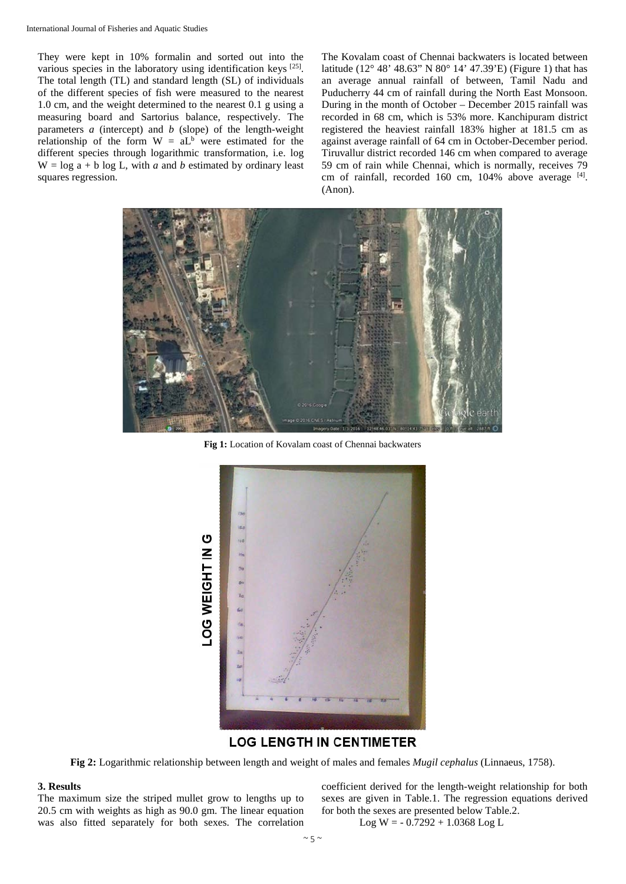They were kept in 10% formalin and sorted out into the various species in the laboratory using identification keys [25]. The total length (TL) and standard length (SL) of individuals of the different species of fish were measured to the nearest 1.0 cm, and the weight determined to the nearest 0.1 g using a measuring board and Sartorius balance, respectively. The parameters *a* (intercept) and *b* (slope) of the length-weight relationship of the form  $W = aL<sup>b</sup>$  were estimated for the different species through logarithmic transformation, i.e. log  $W = \log a + b \log L$ , with *a* and *b* estimated by ordinary least squares regression.

The Kovalam coast of Chennai backwaters is located between latitude (12° 48' 48.63" N 80° 14' 47.39'E) (Figure 1) that has an average annual rainfall of between, Tamil Nadu and Puducherry 44 cm of rainfall during the North East Monsoon. During in the month of October – December 2015 rainfall was recorded in 68 cm, which is 53% more. Kanchipuram district registered the heaviest rainfall 183% higher at 181.5 cm as against average rainfall of 64 cm in October-December period. Tiruvallur district recorded 146 cm when compared to average 59 cm of rain while Chennai, which is normally, receives 79 cm of rainfall, recorded 160 cm, 104% above average [4]. (Anon).



**Fig 1:** Location of Kovalam coast of Chennai backwaters



# **LOG LENGTH IN CENTIMETER**

**Fig 2:** Logarithmic relationship between length and weight of males and females *Mugil cephalus* (Linnaeus, 1758).

## **3. Results**

The maximum size the striped mullet grow to lengths up to 20.5 cm with weights as high as 90.0 gm. The linear equation was also fitted separately for both sexes. The correlation coefficient derived for the length-weight relationship for both sexes are given in Table.1. The regression equations derived for both the sexes are presented below Table.2.

 $Log W = -0.7292 + 1.0368 Log L$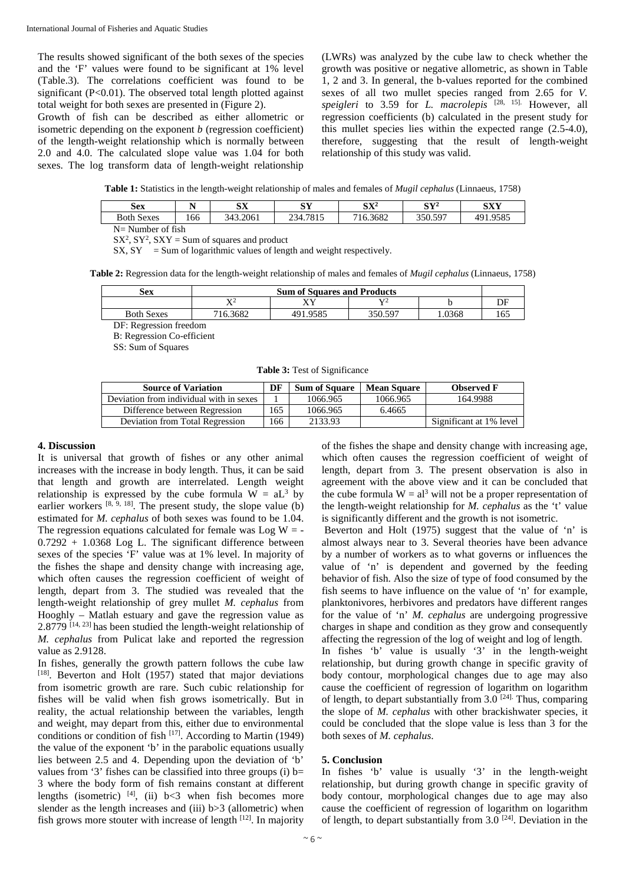The results showed significant of the both sexes of the species and the 'F' values were found to be significant at 1% level (Table.3). The correlations coefficient was found to be significant  $(P<0.01)$ . The observed total length plotted against total weight for both sexes are presented in (Figure 2).

Growth of fish can be described as either allometric or isometric depending on the exponent *b* (regression coefficient) of the length-weight relationship which is normally between 2.0 and 4.0. The calculated slope value was 1.04 for both sexes. The log transform data of length-weight relationship

(LWRs) was analyzed by the cube law to check whether the growth was positive or negative allometric, as shown in Table 1, 2 and 3. In general, the b-values reported for the combined sexes of all two mullet species ranged from 2.65 for *V. speigleri* to 3.59 for *L. macrolepis* [28, 15]. However, all regression coefficients (b) calculated in the present study for this mullet species lies within the expected range (2.5-4.0), therefore, suggesting that the result of length-weight relationship of this study was valid.

**Table 1:** Statistics in the length-weight relationship of males and females of *Mugil cephalus* (Linnaeus, 1758)

| <b>Sex</b>           |     | SХ       | CV       | ${\rm S}{\rm X}^2$ | $\mathbf{C}\mathbf{V}^2$ | SXY      |  |
|----------------------|-----|----------|----------|--------------------|--------------------------|----------|--|
| <b>Both Sexes</b>    | 166 | 343.2061 | 234.7815 | 716.3682           | 350.597                  | 491.9585 |  |
| $N =$ Number of fish |     |          |          |                    |                          |          |  |

 $SX^2$ ,  $SY^2$ ,  $SXY = Sum$  of squares and product

 $SX, SY = Sum of logarithmic values of length and weight respectively.$ 

**Table 2:** Regression data for the length-weight relationship of males and females of *Mugil cephalus* (Linnaeus, 1758)

| Sex               | <b>Sum of Squares and Products</b> |          |                |       |     |  |  |  |
|-------------------|------------------------------------|----------|----------------|-------|-----|--|--|--|
|                   | TZ.<br>77                          |          | $\mathbf{V}^2$ |       | DF  |  |  |  |
| <b>Both Sexes</b> | 716.3682                           | 491.9585 | 350.597        | .0368 | 165 |  |  |  |
|                   |                                    |          |                |       |     |  |  |  |

DF: Regression freedom B: Regression Co-efficient

SS: Sum of Squares

**Table 3:** Test of Significance

| <b>Source of Variation</b>              |     | <b>Sum of Square</b> | <b>Mean Square</b> | <b>Observed F</b>       |
|-----------------------------------------|-----|----------------------|--------------------|-------------------------|
| Deviation from individual with in sexes |     | 1066.965             | 1066.965           | 164.9988                |
| Difference between Regression           | 165 | 1066.965             | 6.4665             |                         |
| Deviation from Total Regression         | 66  | 2133.93              |                    | Significant at 1% level |

#### **4. Discussion**

It is universal that growth of fishes or any other animal increases with the increase in body length. Thus, it can be said that length and growth are interrelated. Length weight relationship is expressed by the cube formula  $W = aL<sup>3</sup>$  by earlier workers  $[8, 9, 18]$ . The present study, the slope value (b) estimated for *M. cephalus* of both sexes was found to be 1.04. The regression equations calculated for female was  $Log W = 0.7292 + 1.0368$  Log L. The significant difference between sexes of the species 'F' value was at 1% level. In majority of the fishes the shape and density change with increasing age, which often causes the regression coefficient of weight of length, depart from 3. The studied was revealed that the length-weight relationship of grey mullet *M. cephalus* from Hooghly – Matlah estuary and gave the regression value as 2.8779 [14, 23] has been studied the length-weight relationship of *M. cephalus* from Pulicat lake and reported the regression value as 2.9128.

In fishes, generally the growth pattern follows the cube law [18]. Beverton and Holt (1957) stated that major deviations from isometric growth are rare. Such cubic relationship for fishes will be valid when fish grows isometrically. But in reality, the actual relationship between the variables, length and weight, may depart from this, either due to environmental conditions or condition of fish  $[17]$ . According to Martin (1949) the value of the exponent 'b' in the parabolic equations usually lies between 2.5 and 4. Depending upon the deviation of 'b' values from '3' fishes can be classified into three groups (i)  $b=$ 3 where the body form of fish remains constant at different lengths (isometric)  $[4]$ , (ii) b<3 when fish becomes more slender as the length increases and (iii) b>3 (allometric) when fish grows more stouter with increase of length  $[12]$ . In majority of the fishes the shape and density change with increasing age, which often causes the regression coefficient of weight of length, depart from 3. The present observation is also in agreement with the above view and it can be concluded that the cube formula  $W = al^3$  will not be a proper representation of the length-weight relationship for *M. cephalus* as the 't' value is significantly different and the growth is not isometric.

Beverton and Holt (1975) suggest that the value of 'n' is almost always near to 3. Several theories have been advance by a number of workers as to what governs or influences the value of 'n' is dependent and governed by the feeding behavior of fish. Also the size of type of food consumed by the fish seems to have influence on the value of 'n' for example, planktonivores, herbivores and predators have different ranges for the value of 'n' *M. cephalus* are undergoing progressive charges in shape and condition as they grow and consequently affecting the regression of the log of weight and log of length.

In fishes 'b' value is usually '3' in the length-weight relationship, but during growth change in specific gravity of body contour, morphological changes due to age may also cause the coefficient of regression of logarithm on logarithm of length, to depart substantially from  $3.0$  <sup>[24]</sup>. Thus, comparing the slope of *M. cephalus* with other brackishwater species, it could be concluded that the slope value is less than 3 for the both sexes of *M. cephalus*.

#### **5. Conclusion**

In fishes 'b' value is usually '3' in the length-weight relationship, but during growth change in specific gravity of body contour, morphological changes due to age may also cause the coefficient of regression of logarithm on logarithm of length, to depart substantially from  $3.0$  <sup>[24]</sup>. Deviation in the